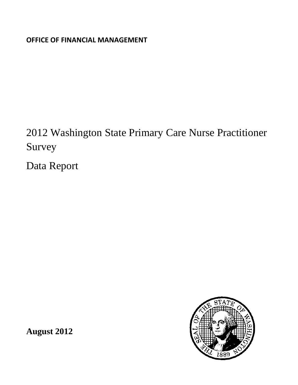**OFFICE OF FINANCIAL MANAGEMENT**

2012 Washington State Primary Care Nurse Practitioner Survey

Data Report



**August 2012**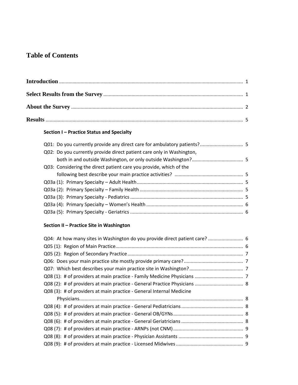# **Table of Contents**

# **Section I – Practice Status and Specialty**

# **Section II – Practice Site in Washington**

| Q04: At how many sites in Washington do you provide direct patient care?  6 |  |
|-----------------------------------------------------------------------------|--|
|                                                                             |  |
|                                                                             |  |
|                                                                             |  |
|                                                                             |  |
|                                                                             |  |
|                                                                             |  |
| Q08 (3): # of providers at main practice - General Internal Medicine        |  |
|                                                                             |  |
|                                                                             |  |
|                                                                             |  |
|                                                                             |  |
|                                                                             |  |
|                                                                             |  |
|                                                                             |  |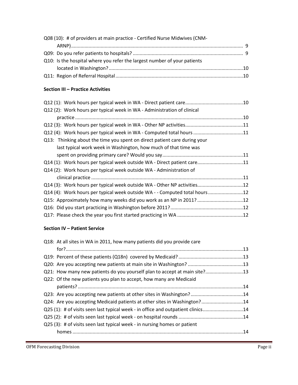| Q08 (10): # of providers at main practice - Certified Nurse Midwives (CNM- |  |
|----------------------------------------------------------------------------|--|
|                                                                            |  |
|                                                                            |  |
| Q10: Is the hospital where you refer the largest number of your patients   |  |
|                                                                            |  |
|                                                                            |  |

#### **Section III – Practice Activities**

| Q12 (2): Work hours per typical week in WA - Administration of clinical    |  |
|----------------------------------------------------------------------------|--|
|                                                                            |  |
|                                                                            |  |
| Q12 (4): Work hours per typical week in WA - Computed total hours 11       |  |
| Q13: Thinking about the time you spent on direct patient care during your  |  |
| last typical work week in Washington, how much of that time was            |  |
|                                                                            |  |
| Q14 (1): Work hours per typical week outside WA - Direct patient care11    |  |
| Q14 (2): Work hours per typical week outside WA - Administration of        |  |
|                                                                            |  |
| Q14 (3): Work hours per typical week outside WA - Other NP activities12    |  |
| Q14 (4): Work hours per typical week outside WA - - Computed total hours12 |  |
| Q15: Approximately how many weeks did you work as an NP in 2011? 12        |  |
|                                                                            |  |
|                                                                            |  |
|                                                                            |  |

## **Section IV – Patient Service**

| Q18: At all sites in WA in 2011, how many patients did you provide care          |  |
|----------------------------------------------------------------------------------|--|
|                                                                                  |  |
|                                                                                  |  |
|                                                                                  |  |
| Q21: How many new patients do you yourself plan to accept at main site?13        |  |
| Q22: Of the new patients you plan to accept, how many are Medicaid               |  |
|                                                                                  |  |
| Q23: Are you accepting new patients at other sites in Washington?14              |  |
| Q24: Are you accepting Medicaid patients at other sites in Washington?14         |  |
| Q25 (1): # of visits seen last typical week - in office and outpatient clinics14 |  |
|                                                                                  |  |
| $Q25$ (3): # of visits seen last typical week - in nursing homes or patient      |  |
|                                                                                  |  |
|                                                                                  |  |

,我们也不会有一个人的事情。""我们的人,我们也不会有一个人的人,我们也不会有一个人的人,我们也不会有一个人的人,我们也不会有一个人的人,我们也不会有一个人的人<br>第一百一十一章 一个人的人,我们也不会有一个人的人,我们也不会有一个人的人,我们也不会有一个人的人,我们也不会有一个人的人,我们也不会有一个人的人,我们也不会有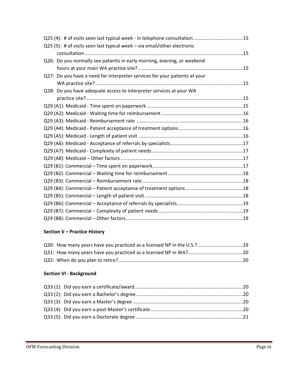| Q25 (4): # of visits seen last typical week - in telephone consultation 15 |  |
|----------------------------------------------------------------------------|--|
| Q25 (5): # of visits seen last typical week - via email/other electronic   |  |
|                                                                            |  |
| Q26: Do you normally see patients in early morning, evening, or weekend    |  |
|                                                                            |  |
| Q27: Do you have a need for interpreter services for your patients at your |  |
|                                                                            |  |
| Q28: Do you have adequate access to interpreter services at your WA        |  |
|                                                                            |  |
|                                                                            |  |
|                                                                            |  |
|                                                                            |  |
|                                                                            |  |
|                                                                            |  |
|                                                                            |  |
|                                                                            |  |
|                                                                            |  |
|                                                                            |  |
|                                                                            |  |
|                                                                            |  |
|                                                                            |  |
|                                                                            |  |
|                                                                            |  |
|                                                                            |  |
|                                                                            |  |

# **Section V – Practice History**

| Q30: How many years have you practiced as a licensed NP in the U.S.?19 |  |
|------------------------------------------------------------------------|--|
|                                                                        |  |
|                                                                        |  |

## **Section VI - Background**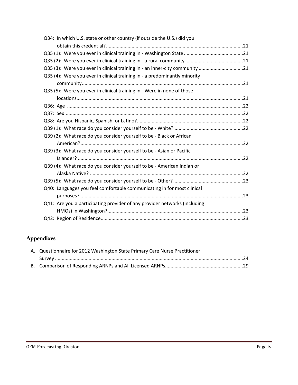| Q34: In which U.S. state or other country (if outside the U.S.) did you     |  |
|-----------------------------------------------------------------------------|--|
|                                                                             |  |
|                                                                             |  |
|                                                                             |  |
| Q35 (3): Were you ever in clinical training in - an inner-city community 21 |  |
| Q35 (4): Were you ever in clinical training in - a predominantly minority   |  |
|                                                                             |  |
| Q35 (5): Were you ever in clinical training in - Were in none of those      |  |
|                                                                             |  |
|                                                                             |  |
|                                                                             |  |
|                                                                             |  |
|                                                                             |  |
| Q39 (2): What race do you consider yourself to be - Black or African        |  |
|                                                                             |  |
| Q39 (3): What race do you consider yourself to be - Asian or Pacific        |  |
|                                                                             |  |
| Q39 (4): What race do you consider yourself to be - American Indian or      |  |
|                                                                             |  |
|                                                                             |  |
| Q40: Languages you feel comfortable communicating in for most clinical      |  |
|                                                                             |  |
| Q41: Are you a participating provider of any provider networks (including   |  |
|                                                                             |  |
|                                                                             |  |

# **Appendixes**

| A. Questionnaire for 2012 Washington State Primary Care Nurse Practitioner |  |
|----------------------------------------------------------------------------|--|
|                                                                            |  |
|                                                                            |  |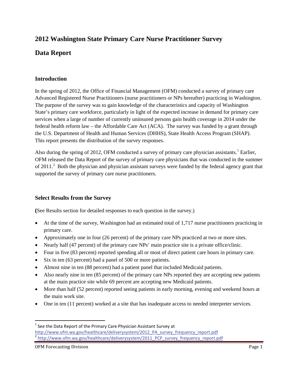# **2012 Washington State Primary Care Nurse Practitioner Survey**

# **Data Report**

### **Introduction**

In the spring of 2012, the Office of Financial Management (OFM) conducted a survey of primary care Advanced Registered Nurse Practitioners (nurse practitioners or NPs hereafter) practicing in Washington. The purpose of the survey was to gain knowledge of the characteristics and capacity of Washington State's primary care workforce, particularly in light of the expected increase in demand for primary care services when a large of number of currently uninsured persons gain health coverage in 2014 under the federal health reform law – the Affordable Care Act (ACA). The survey was funded by a grant through the U.S. Department of Health and Human Services (DHHS), State Health Access Program (SHAP). This report presents the distribution of the survey responses.

Also during the spring of 20[1](#page-5-0)2, OFM conducted a survey of primary care physician assistants.<sup>1</sup> Earlier, OFM released the Data Report of the survey of primary care physicians that was conducted in the summer of [2](#page-5-1)011.<sup>2</sup> Both the physician and physician assistant surveys were funded by the federal agency grant that supported the survey of primary care nurse practitioners.

### **Select Results from the Survey**

**(**See Results section for detailed responses to each question in the survey.)

- At the time of the survey, Washington had an estimated total of 1,717 nurse practitioners practicing in primary care.
- Approximately one in four (26 percent) of the primary care NPs practiced at two or more sites.
- Nearly half (47 percent) of the primary care NPs' main practice site is a private office/clinic.
- Four in five (83 percent) reported spending all or most of direct patient care hours in primary care.
- Six in ten (63 percent) had a panel of 500 or more patients.
- Almost nine in ten (88 percent) had a patient panel that included Medicaid patients.
- Also nearly nine in ten (85 percent) of the primary care NPs reported they are accepting new patients at the main practice site while 69 percent are accepting new Medicaid patients.
- More than half (52 percent) reported seeing patients in early morning, evening and weekend hours at the main work site.
- One in ten (11 percent) worked at a site that has inadequate access to needed interpreter services.

 $\overline{\phantom{a}}$ 

<span id="page-5-1"></span><span id="page-5-0"></span> $1$  See the Data Report of the Primary Care Physician Assistant Survey at [http://www.ofm.wa.gov/healthcare/deliverysystem/2012\\_PA\\_survey\\_frequency\\_report.pdf](http://www.ofm.wa.gov/healthcare/deliverysystem/2012_PA_survey_frequency_report.pdf) <sup>2</sup> [http://www.ofm.wa.gov/healthcare/deliverysystem/2011\\_PCP\\_survey\\_frequency\\_report.pdf](http://www.ofm.wa.gov/healthcare/deliverysystem/2011_PCP_survey_frequency_report.pdf)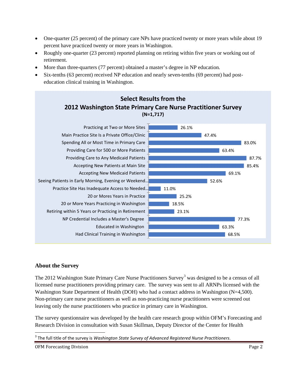- One-quarter (25 percent) of the primary care NPs have practiced twenty or more years while about 19 percent have practiced twenty or more years in Washington.
- Roughly one-quarter (23 percent) reported planning on retiring within five years or working out of retirement.
- More than three-quarters (77 percent) obtained a master's degree in NP education.
- Six-tenths (63 percent) received NP education and nearly seven-tenths (69 percent) had posteducation clinical training in Washington.



### **About the Survey**

The 2012 Washington State Primary Care Nurse Practitioners Survey<sup>[3](#page-6-0)</sup> was designed to be a census of all licensed nurse practitioners providing primary care. The survey was sent to all ARNPs licensed with the Washington State Department of Health (DOH) who had a contact address in Washington (N=4,500). Non-primary care nurse practitioners as well as non-practicing nurse practitioners were screened out leaving only the nurse practitioners who practice in primary care in Washington.

The survey questionnaire was developed by the health care research group within OFM's Forecasting and Research Division in consultation with Susan Skillman, Deputy Director of the Center for Health

l

<span id="page-6-0"></span><sup>3</sup> The full title of the survey is *Washington State Survey of Advanced Registered Nurse Practitioners*.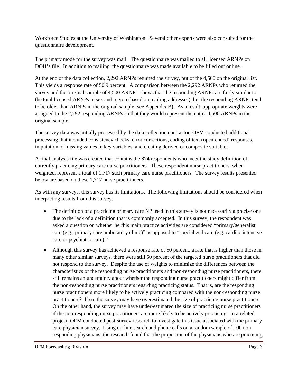Workforce Studies at the University of Washington. Several other experts were also consulted for the questionnaire development.

The primary mode for the survey was mail. The questionnaire was mailed to all licensed ARNPs on DOH's file. In addition to mailing, the questionnaire was made available to be filled out online.

At the end of the data collection, 2,292 ARNPs returned the survey, out of the 4,500 on the original list. This yields a response rate of 50.9 percent. A comparison between the 2,292 ARNPs who returned the survey and the original sample of 4,500 ARNPs shows that the responding ARNPs are fairly similar to the total licensed ARNPs in sex and region (based on mailing addresses), but the responding ARNPs tend to be older than ARNPs in the original sample (see Appendix B). As a result, appropriate weights were assigned to the 2,292 responding ARNPs so that they would represent the entire 4,500 ARNPs in the original sample.

The survey data was initially processed by the data collection contractor. OFM conducted additional processing that included consistency checks, error corrections, coding of text (open-ended) responses, imputation of missing values in key variables, and creating derived or composite variables.

A final analysis file was created that contains the 874 respondents who meet the study definition of currently practicing primary care nurse practitioners. These respondent nurse practitioners, when weighted, represent a total of 1,717 such primary care nurse practitioners. The survey results presented below are based on these 1,717 nurse practitioners.

As with any surveys, this survey has its limitations. The following limitations should be considered when interpreting results from this survey.

- The definition of a practicing primary care NP used in this survey is not necessarily a precise one due to the lack of a definition that is commonly accepted. In this survey, the respondent was asked a question on whether her/his main practice activities are considered "primary/generalist care (e.g., primary care ambulatory clinic)" as opposed to "specialized care (e.g. cardiac intensive care or psychiatric care)."
- Although this survey has achieved a response rate of 50 percent, a rate that is higher than those in many other similar surveys, there were still 50 percent of the targeted nurse practitioners that did not respond to the survey. Despite the use of weights to minimize the differences between the characteristics of the responding nurse practitioners and non-responding nurse practitioners, there still remains an uncertainty about whether the responding nurse practitioners might differ from the non-responding nurse practitioners regarding practicing status. That is, are the responding nurse practitioners more likely to be actively practicing compared with the non-responding nurse practitioners? If so, the survey may have overestimated the size of practicing nurse practitioners. On the other hand, the survey may have under-estimated the size of practicing nurse practitioners if the non-responding nurse practitioners are more likely to be actively practicing. In a related project, OFM conducted post-survey research to investigate this issue associated with the primary care physician survey. Using on-line search and phone calls on a random sample of 100 nonresponding physicians, the research found that the proportion of the physicians who are practicing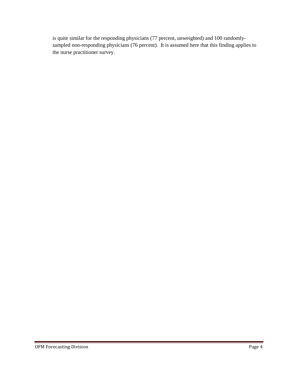is quite similar for the responding physicians (77 percent, unweighted) and 100 randomlysampled non-responding physicians (76 percent). It is assumed here that this finding applies to the nurse practitioner survey.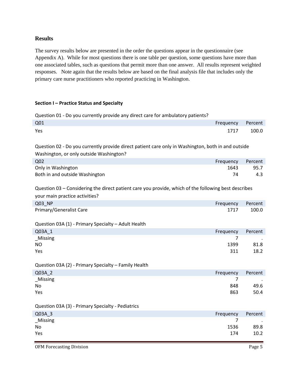#### **Results**

The survey results below are presented in the order the questions appear in the questionnaire (see Appendix A). While for most questions there is one table per question, some questions have more than one associated tables, such as questions that permit more than one answer. All results represent weighted responses. Note again that the results below are based on the final analysis file that includes only the primary care nurse practitioners who reported practicing in Washington.

#### **Section I – Practice Status and Specialty**

Question 01 - Do you currently provide any direct care for ambulatory patients?

| Q01 | Frequency Percent |       |
|-----|-------------------|-------|
| Yes | 1717              | 100.0 |

Question 02 - Do you currently provide direct patient care only in Washington, both in and outside Washington, or only outside Washington?

| Q <sub>02</sub>                | Frequency | Percent |
|--------------------------------|-----------|---------|
| Only in Washington             | 1643      | 95.7    |
| Both in and outside Washington |           | 4.3     |

Question 03 – Considering the direct patient care you provide, which of the following best describes your main practice activities?

| Q03_NP                                               | Frequency | Percent   |
|------------------------------------------------------|-----------|-----------|
| Primary/Generalist Care                              | 1717      | 100.0     |
| Question 03A (1) - Primary Specialty - Adult Health  |           |           |
| Q03A 1                                               | Frequency | Percent   |
| _Missing                                             | 7         |           |
| <b>NO</b>                                            | 1399      | 81.8      |
| Yes                                                  | 311       | 18.2      |
| Question 03A (2) - Primary Specialty - Family Health |           |           |
| Q03A_2                                               | Frequency | Percent   |
| _Missing                                             | 7         |           |
| No                                                   | 848       | 49.6      |
| Yes                                                  | 863       | 50.4      |
|                                                      |           |           |
| Question 03A (3) - Primary Specialty - Pediatrics    |           |           |
| Q03A 3                                               | Frequency | Percent   |
| _Missing                                             | 7         | $\bullet$ |
| No                                                   | 1536      | 89.8      |
| Yes                                                  | 174       | 10.2      |
|                                                      |           |           |

OFM Forecasting Division **Page 5** and the page 5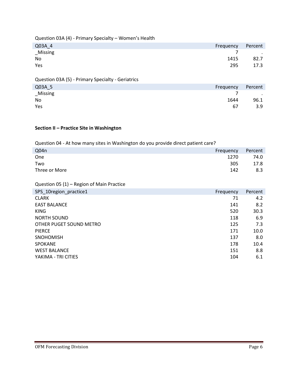| Question 03A (4) - Primary Specialty - Women's Health |           |         |
|-------------------------------------------------------|-----------|---------|
| Q03A 4                                                | Frequency | Percent |
| Missing                                               |           |         |
| N <sub>0</sub>                                        | 1415      | 82.7    |
| Yes                                                   | 295       | 17.3    |
|                                                       |           |         |
| Question 03A (5) - Primary Specialty - Geriatrics     |           |         |

| Q03A_5   | Frequency | Percent                           |
|----------|-----------|-----------------------------------|
| _Missing |           | <b>Contract Contract Contract</b> |
| No       | 1644      | 96.1                              |
| Yes      | 67        | 3.9                               |

### **Section II – Practice Site in Washington**

Question 04 - At how many sites in Washington do you provide direct patient care?

| Q04n          | Frequency | Percent |
|---------------|-----------|---------|
| One           | 1270      | 74.0    |
| Two           | 305       | 17.8    |
| Three or More | 142       | 8.3     |

Question 05 (1) – Region of Main Practice

| SPS 10region practice1  | Frequency | Percent |
|-------------------------|-----------|---------|
| <b>CLARK</b>            | 71        | 4.2     |
| <b>EAST BALANCE</b>     | 141       | 8.2     |
| <b>KING</b>             | 520       | 30.3    |
| <b>NORTH SOUND</b>      | 118       | 6.9     |
| OTHER PUGET SOUND METRO | 125       | 7.3     |
| <b>PIERCE</b>           | 171       | 10.0    |
| <b>SNOHOMISH</b>        | 137       | 8.0     |
| <b>SPOKANE</b>          | 178       | 10.4    |
| <b>WEST BALANCE</b>     | 151       | 8.8     |
| YAKIMA - TRI CITIES     | 104       | 6.1     |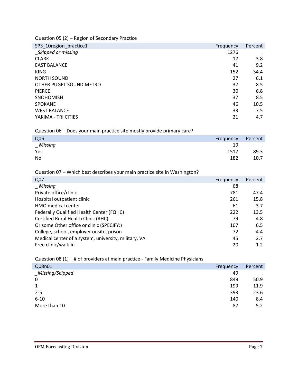Question 05 (2) – Region of Secondary Practice

| SPS_10region_practice1  | Frequency | Percent |
|-------------------------|-----------|---------|
| Skipped or missing      | 1276      |         |
| <b>CLARK</b>            | 17        | 3.8     |
| <b>EAST BALANCE</b>     | 41        | 9.2     |
| <b>KING</b>             | 152       | 34.4    |
| <b>NORTH SOUND</b>      | 27        | 6.1     |
| OTHER PUGET SOUND METRO | 37        | 8.5     |
| <b>PIERCE</b>           | 30        | 6.8     |
| <b>SNOHOMISH</b>        | 37        | 8.5     |
| <b>SPOKANE</b>          | 46        | 10.5    |
| <b>WEST BALANCE</b>     | 33        | 7.5     |
| YAKIMA - TRI CITIES     | 21        | 4.7     |

Question 06 – Does your main practice site mostly provide primary care?

| Q06     | Frequency | Percent        |
|---------|-----------|----------------|
| Missing | 19        | $\blacksquare$ |
| Yes     | 1517      | 89.3           |
| No      | 182       | 10.7           |

Question 07 – Which best describes your main practice site in Washington?

| Q07                                                  | Frequency | Percent |
|------------------------------------------------------|-----------|---------|
| Missing                                              | 68        |         |
| Private office/clinic                                | 781       | 47.4    |
| Hospital outpatient clinic                           | 261       | 15.8    |
| <b>HMO</b> medical center                            | 61        | 3.7     |
| Federally Qualified Health Center (FQHC)             | 222       | 13.5    |
| Certified Rural Health Clinic (RHC)                  | 79        | 4.8     |
| Or some Other office or clinic (SPECIFY:)            | 107       | 6.5     |
| College, school, employer onsite, prison             | 72        | 4.4     |
| Medical center of a system, university, military, VA | 45        | 2.7     |
| Free clinic/walk-in                                  | 20        | 1.2     |

Question 08 (1) – # of providers at main practice - Family Medicine Physicians

| Q08n01           | Frequency | Percent   |
|------------------|-----------|-----------|
| _Missing/Skipped | 49        | $\bullet$ |
| 0                | 849       | 50.9      |
| 1                | 199       | 11.9      |
| $2 - 5$          | 393       | 23.6      |
| $6 - 10$         | 140       | 8.4       |
| More than 10     | 87        | 5.2       |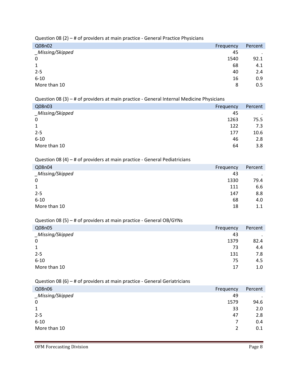Question 08 (2) – # of providers at main practice - General Practice Physicians

| Q08n02           | Frequency | Percent |
|------------------|-----------|---------|
| _Missing/Skipped | 45        | $\cdot$ |
| $\mathbf 0$      | 1540      | 92.1    |
| $\mathbf{1}$     | 68        | 4.1     |
| $2 - 5$          | 40        | 2.4     |
| $6 - 10$         | 16        | 0.9     |
| More than 10     | 8         | 0.5     |

Question 08 (3) – # of providers at main practice - General Internal Medicine Physicians

| Q08n03           | Frequency | Percent   |
|------------------|-----------|-----------|
| _Missing/Skipped | 45        | $\bullet$ |
| $\boldsymbol{0}$ | 1263      | 75.5      |
| $\mathbf{1}$     | 122       | 7.3       |
| $2 - 5$          | 177       | 10.6      |
| $6 - 10$         | 46        | 2.8       |
| More than 10     | 64        | 3.8       |
|                  |           |           |

#### Question 08 (4) – # of providers at main practice - General Pediatricians

| Q08n04           | Frequency | Percent |
|------------------|-----------|---------|
| _Missing/Skipped | 43        | $\cdot$ |
| $\mathbf 0$      | 1330      | 79.4    |
| $\mathbf{1}$     | 111       | 6.6     |
| $2 - 5$          | 147       | 8.8     |
| $6 - 10$         | 68        | 4.0     |
| More than 10     | 18        | $1.1\,$ |

### Question 08 (5) – # of providers at main practice - General OB/GYNs

| Q08n05           | Frequency | Percent |
|------------------|-----------|---------|
| _Missing/Skipped | 43        |         |
| 0                | 1379      | 82.4    |
| $\mathbf{1}$     | 73        | 4.4     |
| $2 - 5$          | 131       | 7.8     |
| $6 - 10$         | 75        | 4.5     |
| More than 10     | 17        | 1.0     |

#### Question 08 (6) – # of providers at main practice - General Geriatricians

| Q08n06           | Frequency | Percent |
|------------------|-----------|---------|
| _Missing/Skipped | 49        | $\cdot$ |
| $\boldsymbol{0}$ | 1579      | 94.6    |
| $\mathbf{1}$     | 33        | 2.0     |
| $2 - 5$          | 47        | 2.8     |
| $6 - 10$         | 7         | 0.4     |
| More than 10     | 2         | 0.1     |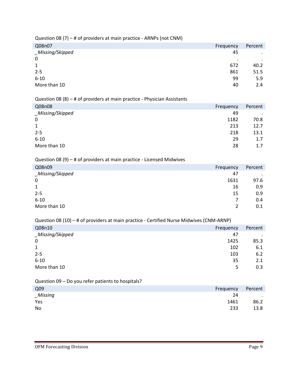|                  | $\cdot$ $\cdot$ |  | . . |           |         |
|------------------|-----------------|--|-----|-----------|---------|
| Q08n07           |                 |  |     | Frequency | Percent |
| _Missing/Skipped |                 |  |     | 45        | ٠       |
| 0                |                 |  |     | ٠         |         |
| 1                |                 |  |     | 672       | 40.2    |
| $2 - 5$          |                 |  |     | 861       | 51.5    |
| $6 - 10$         |                 |  |     | 99        | 5.9     |
| More than 10     |                 |  |     | 40        | 2.4     |
|                  |                 |  |     |           |         |

#### Question 08 (7) – # of providers at main practice - ARNPs (not CNM)

#### Question 08 (8) – # of providers at main practice - Physician Assistants

| Q08n08           | Frequency | Percent |
|------------------|-----------|---------|
| _Missing/Skipped | 49        | $\cdot$ |
| $\mathbf 0$      | 1182      | 70.8    |
| $\mathbf{1}$     | 213       | 12.7    |
| $2 - 5$          | 218       | 13.1    |
| $6 - 10$         | 29        | 1.7     |
| More than 10     | 28        | 1.7     |
|                  |           |         |

#### Question 08 (9) – # of providers at main practice - Licensed Midwives

| Q08n09           | Frequency | Percent |
|------------------|-----------|---------|
| _Missing/Skipped | 47        | $\cdot$ |
| 0                | 1631      | 97.6    |
| 1                | 16        | 0.9     |
| $2 - 5$          | 15        | 0.9     |
| $6 - 10$         | 7         | 0.4     |
| More than 10     | 2         | 0.1     |

### Question 08 (10) – # of providers at main practice - Certified Nurse Midwives (CNM-ARNP)

| Q08n10           | Frequency | Percent |
|------------------|-----------|---------|
| _Missing/Skipped | 47        | $\cdot$ |
| $\mathbf 0$      | 1425      | 85.3    |
| 1                | 102       | 6.1     |
| $2 - 5$          | 103       | 6.2     |
| $6 - 10$         | 35        | 2.1     |
| More than 10     | 5         | 0.3     |

### Question 09 – Do you refer patients to hospitals?

| Q <sub>09</sub> | Frequency | Percent                  |
|-----------------|-----------|--------------------------|
| $\_Missing$     | 24        | <b>Contract Contract</b> |
| Yes             | 1461      | 86.2                     |
| No              | 233       | 13.8                     |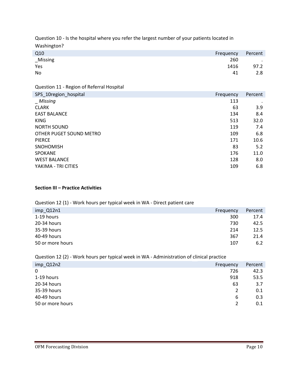Question 10 - Is the hospital where you refer the largest number of your patients located in Washington?

| Q10<br>Frequency | Percent |
|------------------|---------|
| _Missing<br>260  | $\sim$  |
| Yes<br>1416      | 97.2    |
| No<br>41         | 2.8     |

Question 11 - Region of Referral Hospital

| SPS_10region_hospital   | Frequency | Percent |
|-------------------------|-----------|---------|
| _Missing                | 113       |         |
| <b>CLARK</b>            | 63        | 3.9     |
| <b>EAST BALANCE</b>     | 134       | 8.4     |
| <b>KING</b>             | 513       | 32.0    |
| <b>NORTH SOUND</b>      | 119       | 7.4     |
| OTHER PUGET SOUND METRO | 109       | 6.8     |
| <b>PIERCE</b>           | 171       | 10.6    |
| <b>SNOHOMISH</b>        | 83        | 5.2     |
| <b>SPOKANE</b>          | 176       | 11.0    |
| <b>WEST BALANCE</b>     | 128       | 8.0     |
| YAKIMA - TRI CITIES     | 109       | 6.8     |

### **Section III – Practice Activities**

#### Question 12 (1) - Work hours per typical week in WA - Direct patient care

| $imp_Q12n1$      | Frequency | Percent |
|------------------|-----------|---------|
| 1-19 hours       | 300       | 17.4    |
| 20-34 hours      | 730       | 42.5    |
| 35-39 hours      | 214       | 12.5    |
| 40-49 hours      | 367       | 21.4    |
| 50 or more hours | 107       | 6.2     |

Question 12 (2) - Work hours per typical week in WA - Administration of clinical practice

| imp_Q12n2        | Frequency | Percent |
|------------------|-----------|---------|
| 0                | 726       | 42.3    |
| 1-19 hours       | 918       | 53.5    |
| 20-34 hours      | 63        | 3.7     |
| 35-39 hours      | 2         | 0.1     |
| 40-49 hours      | 6         | 0.3     |
| 50 or more hours | 2         | 0.1     |
|                  |           |         |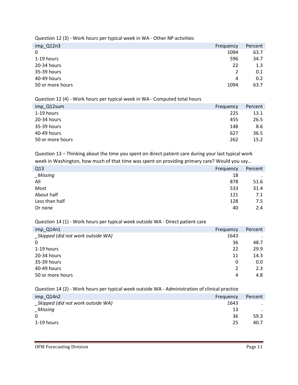Question 12 (3) - Work hours per typical week in WA - Other NP activities

| $imp_Q12n3$      | Frequency | Percent |
|------------------|-----------|---------|
| $\mathbf 0$      | 1094      | 63.7    |
| 1-19 hours       | 596       | 34.7    |
| 20-34 hours      | 22        | 1.3     |
| 35-39 hours      | 2         | 0.1     |
| 40-49 hours      | 4         | 0.2     |
| 50 or more hours | 1094      | 63.7    |

#### Question 12 (4) - Work hours per typical week in WA - Computed total hours

| Frequency | Percent |
|-----------|---------|
| 225       | 13.1    |
| 455       | 26.5    |
| 148       | 8.6     |
| 627       | 36.5    |
| 262       | 15.2    |
|           |         |

Question 13 – Thinking about the time you spent on direct patient care during your last typical work week in Washington, how much of that time was spent on providing primary care? Would you say…

| Q13            | Frequency | Percent |
|----------------|-----------|---------|
| $_M$ issing    | 18        | $\cdot$ |
| All            | 878       | 51.6    |
| Most           | 533       | 31.4    |
| About half     | 121       | 7.1     |
| Less than half | 128       | 7.5     |
| Or none        | 40        | 2.4     |

#### Question 14 (1) - Work hours per typical week outside WA - Direct patient care

| imp_Q14n1                          | Frequency | Percent |
|------------------------------------|-----------|---------|
| _Skipped (did not work outside WA) | 1643      |         |
| $\mathbf 0$                        | 36        | 48.7    |
| 1-19 hours                         | 22        | 29.9    |
| 20-34 hours                        | 11        | 14.3    |
| 35-39 hours                        | 0         | 0.0     |
| 40-49 hours                        | 2         | 2.3     |
| 50 or more hours                   | 4         | 4.8     |

#### Question 14 (2) - Work hours per typical week outside WA - Administration of clinical practice

| $imp_Q14n2$                       | Frequency | Percent |
|-----------------------------------|-----------|---------|
| Skipped (did not work outside WA) | 1643      |         |
| $_M$ Missing                      | 13        |         |
| $\Omega$                          | 36        | 59.3    |
| 1-19 hours                        | 25        | 40.7    |
|                                   |           |         |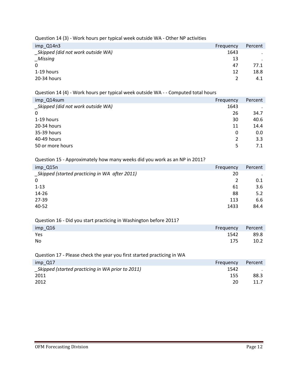Question 14 (3) - Work hours per typical week outside WA - Other NP activities

| imp_Q14n3                         | Frequency | Percent |
|-----------------------------------|-----------|---------|
| Skipped (did not work outside WA) | 1643      | $\cdot$ |
| _Missing                          | 13        |         |
| $\Omega$                          | 47        | 77.1    |
| 1-19 hours                        | 12        | 18.8    |
| 20-34 hours                       | 2         | 4.1     |

#### Question 14 (4) - Work hours per typical week outside WA - - Computed total hours

| imp Q14sum                         | Frequency | Percent |
|------------------------------------|-----------|---------|
| _Skipped (did not work outside WA) | 1643      |         |
| $\Omega$                           | 26        | 34.7    |
| 1-19 hours                         | 30        | 40.6    |
| 20-34 hours                        | 11        | 14.4    |
| 35-39 hours                        | 0         | 0.0     |
| 40-49 hours                        | 2         | 3.3     |
| 50 or more hours                   | 5         | 7.1     |

#### Question 15 - Approximately how many weeks did you work as an NP in 2011?

| imp_Q15n<br>Frequency                                | Percent |
|------------------------------------------------------|---------|
| _Skipped (started practicing in WA after 2011)<br>20 | $\cdot$ |
| 0                                                    | 0.1     |
| $1 - 13$<br>61                                       | 3.6     |
| $14 - 26$<br>88                                      | 5.2     |
| 27-39<br>113                                         | 6.6     |
| 40-52<br>1433                                        | 84.4    |

### Question 16 - Did you start practicing in Washington before 2011?

| imp_Q16     | Frequency Percent |
|-------------|-------------------|
| Yes<br>1542 | 89.8              |
| No<br>175   | 10.2              |

### Question 17 - Please check the year you first started practicing in WA

| imp Q17<br>Frequency                             |      | Percent |
|--------------------------------------------------|------|---------|
| Skipped (started practicing in WA prior to 2011) | 1542 |         |
| 2011                                             | 155  | 88.3    |
| 2012                                             | 20   | 11.7    |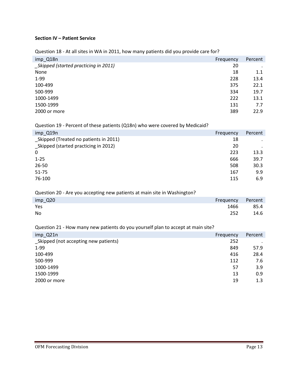### **Section IV – Patient Service**

Question 18 - At all sites in WA in 2011, how many patients did you provide care for?

| imp_Q18n                             | Frequency | Percent   |
|--------------------------------------|-----------|-----------|
| Skipped (started practicing in 2011) | 20        | $\bullet$ |
| None                                 | 18        | 1.1       |
| $1-99$                               | 228       | 13.4      |
| 100-499                              | 375       | 22.1      |
| 500-999                              | 334       | 19.7      |
| 1000-1499                            | 222       | 13.1      |
| 1500-1999                            | 131       | 7.7       |
| 2000 or more                         | 389       | 22.9      |

#### Question 19 - Percent of these patients (Q18n) who were covered by Medicaid?

| imp_Q19n                               | Frequency | Percent |
|----------------------------------------|-----------|---------|
| _Skipped (Treated no patients in 2011) | 18        | $\cdot$ |
| Skipped (started practicing in 2012)   | 20        | $\cdot$ |
| $\mathbf 0$                            | 223       | 13.3    |
| $1 - 25$                               | 666       | 39.7    |
| 26-50                                  | 508       | 30.3    |
| 51-75                                  | 167       | 9.9     |
| 76-100                                 | 115       | 6.9     |

#### Question 20 - Are you accepting new patients at main site in Washington?

| imp_Q20     | Frequency Percent |
|-------------|-------------------|
| Yes<br>1466 | 85.4              |
| No<br>252   | 14.6              |

### Question 21 - How many new patients do you yourself plan to accept at main site?

| imp_Q21n                             | Frequency | Percent |
|--------------------------------------|-----------|---------|
| Skipped (not accepting new patients) | 252       |         |
| $1-99$                               | 849       | 57.9    |
| 100-499                              | 416       | 28.4    |
| 500-999                              | 112       | 7.6     |
| 1000-1499                            | 57        | 3.9     |
| 1500-1999                            | 13        | 0.9     |
| 2000 or more                         | 19        | 1.3     |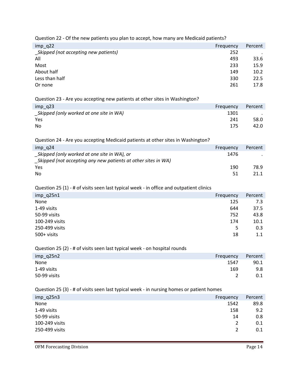Question 22 - Of the new patients you plan to accept, how many are Medicaid patients?

| $imp_q22$                             | Frequency | Percent |
|---------------------------------------|-----------|---------|
| _Skipped (not accepting new patients) | 252       |         |
| All                                   | 493       | 33.6    |
| Most                                  | 233       | 15.9    |
| About half                            | 149       | 10.2    |
| Less than half                        | 330       | 22.5    |
| Or none                               | 261       | 17.8    |
|                                       |           |         |

Question 23 - Are you accepting new patients at other sites in Washington?

| $imp_q23$                               | Frequency | Percent |
|-----------------------------------------|-----------|---------|
| Skipped (only worked at one site in WA) | 1301      |         |
| Yes                                     | 241       | 58.0    |
| No                                      | 175       | 42.0    |

#### Question 24 - Are you accepting Medicaid patients at other sites in Washington?

| $imp$ q24                                                     | Frequency | Percent |
|---------------------------------------------------------------|-----------|---------|
| Skipped (only worked at one site in WA), or                   | 1476      |         |
| Skipped (not accepting any new patients at other sites in WA) |           |         |
| Yes                                                           | 190       | 78.9    |
| No                                                            | 51        | 21.1    |

#### Question 25 (1) - # of visits seen last typical week - in office and outpatient clinics

| $imp_q25n1$    | Frequency | Percent |
|----------------|-----------|---------|
| None           | 125       | 7.3     |
| 1-49 visits    | 644       | 37.5    |
| 50-99 visits   | 752       | 43.8    |
| 100-249 visits | 174       | 10.1    |
| 250-499 visits | 5         | 0.3     |
| 500+ visits    | 18        | 1.1     |

### Question 25 (2) - # of visits seen last typical week - on hospital rounds

| $imp_q25n2$  | Frequency | Percent |
|--------------|-----------|---------|
| None         | 1547      | 90.1    |
| 1-49 visits  | 169       | 9.8     |
| 50-99 visits |           | 0.1     |

#### Question 25 (3) - # of visits seen last typical week - in nursing homes or patient homes

| $imp_{q}$ and $m$ | Frequency | Percent |
|-------------------|-----------|---------|
| None              | 1542      | 89.8    |
| 1-49 visits       | 158       | 9.2     |
| 50-99 visits      | 14        | 0.8     |
| 100-249 visits    | 2         | 0.1     |
| 250-499 visits    | 2         | 0.1     |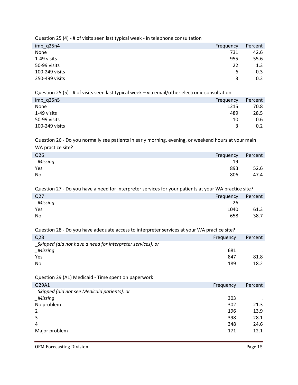Question 25 (4) - # of visits seen last typical week - in telephone consultation

| $imp_{q}$ 25n4 | Frequency | Percent |
|----------------|-----------|---------|
| None           | 731       | 42.6    |
| 1-49 visits    | 955       | 55.6    |
| 50-99 visits   | 22        | 1.3     |
| 100-249 visits | 6         | 0.3     |
| 250-499 visits | 3         | 0.2     |

Question 25 (5) - # of visits seen last typical week – via email/other electronic consultation

| imp_q25n5<br>Frequency | Percent |
|------------------------|---------|
| None<br>1215           | 70.8    |
| 1-49 visits<br>489     | 28.5    |
| 50-99 visits<br>10     | 0.6     |
| 100-249 visits<br>3    | 0.2     |

Question 26 - Do you normally see patients in early morning, evening, or weekend hours at your main WA practice site?

| Q <sub>26</sub><br>Frequency |     | Percent |
|------------------------------|-----|---------|
| $\_Missing$                  | 19  | $\sim$  |
| Yes                          | 893 | 52.6    |
| No                           | 806 | 47.4    |

Question 27 - Do you have a need for interpreter services for your patients at your WA practice site?

| Q <sub>27</sub> | Frequency | Percent |
|-----------------|-----------|---------|
| $_M$ issing     | 26        | $\sim$  |
| Yes             | 1040      | 61.3    |
| No              | 658       | 38.7    |

Question 28 - Do you have adequate access to interpreter services at your WA practice site?

| Q28                                                        | Frequency | Percent |
|------------------------------------------------------------|-----------|---------|
| Skipped (did not have a need for interpreter services), or |           |         |
| Missing                                                    | 681       |         |
| Yes                                                        | 847       | 81.8    |
| No                                                         | 189       | 18.2    |

Question 29 (A1) Medicaid - Time spent on paperwork

| Q29A1                                       | Frequency | Percent |
|---------------------------------------------|-----------|---------|
| Skipped (did not see Medicaid patients), or |           |         |
| <b>Missing</b>                              | 303       |         |
| No problem                                  | 302       | 21.3    |
| 2                                           | 196       | 13.9    |
| 3                                           | 398       | 28.1    |
| 4                                           | 348       | 24.6    |
| Major problem                               | 171       | 12.1    |

OFM Forecasting Division **Page 15**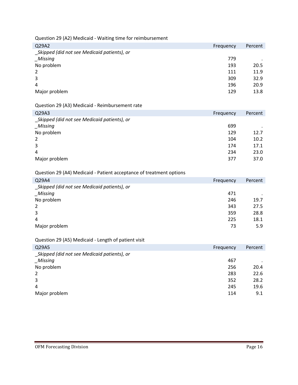Question 29 (A2) Medicaid - Waiting time for reimbursement

| Q29A2                                       | Frequency | Percent |
|---------------------------------------------|-----------|---------|
| Skipped (did not see Medicaid patients), or |           |         |
| _Missing                                    | 779       |         |
| No problem                                  | 193       | 20.5    |
| 2                                           | 111       | 11.9    |
| 3                                           | 309       | 32.9    |
| 4                                           | 196       | 20.9    |
| Major problem                               | 129       | 13.8    |
|                                             |           |         |

### Question 29 (A3) Medicaid - Reimbursement rate

| Q29A3                                       | Frequency | Percent |
|---------------------------------------------|-----------|---------|
| Skipped (did not see Medicaid patients), or |           |         |
| _Missing                                    | 699       | $\cdot$ |
| No problem                                  | 129       | 12.7    |
| 2                                           | 104       | 10.2    |
| 3                                           | 174       | 17.1    |
| 4                                           | 234       | 23.0    |
| Major problem                               | 377       | 37.0    |

### Question 29 (A4) Medicaid - Patient acceptance of treatment options

| Q29A4                                       | Frequency | Percent |
|---------------------------------------------|-----------|---------|
| Skipped (did not see Medicaid patients), or |           |         |
| <b>Missing</b>                              | 471       | $\cdot$ |
| No problem                                  | 246       | 19.7    |
| 2                                           | 343       | 27.5    |
| 3                                           | 359       | 28.8    |
| 4                                           | 225       | 18.1    |
| Major problem                               | 73        | 5.9     |

### Question 29 (A5) Medicaid - Length of patient visit

| $\cdot$ |
|---------|
| 20.4    |
| 22.6    |
| 28.2    |
| 19.6    |
| 9.1     |
|         |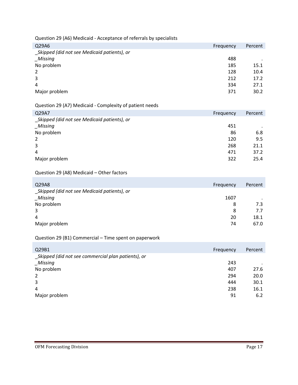Question 29 (A6) Medicaid - Acceptance of referrals by specialists

| Frequency | Percent |
|-----------|---------|
|           |         |
| 488       |         |
| 185       | 15.1    |
| 128       | 10.4    |
| 212       | 17.2    |
| 334       | 27.1    |
| 371       | 30.2    |
|           |         |

### Question 29 (A7) Medicaid - Complexity of patient needs

| Q29A7                                       | Frequency | Percent |
|---------------------------------------------|-----------|---------|
| Skipped (did not see Medicaid patients), or |           |         |
| Missing                                     | 451       | $\cdot$ |
| No problem                                  | 86        | 6.8     |
| 2                                           | 120       | 9.5     |
| 3                                           | 268       | 21.1    |
| 4                                           | 471       | 37.2    |
| Major problem                               | 322       | 25.4    |

### Question 29 (A8) Medicaid – Other factors

| Q29A8                                       | Frequency | Percent |
|---------------------------------------------|-----------|---------|
| Skipped (did not see Medicaid patients), or |           |         |
| Missing                                     | 1607      |         |
| No problem                                  | 8         | 7.3     |
| 3                                           | 8         | 7.7     |
| 4                                           | 20        | 18.1    |
| Major problem                               | 74        | 67.0    |

### Question 29 (B1) Commercial – Time spent on paperwork

| Q29B1                                              | Frequency | Percent |
|----------------------------------------------------|-----------|---------|
| Skipped (did not see commercial plan patients), or |           |         |
| Missing                                            | 243       |         |
| No problem                                         | 407       | 27.6    |
| 2                                                  | 294       | 20.0    |
| 3                                                  | 444       | 30.1    |
| 4                                                  | 238       | 16.1    |
| Major problem                                      | 91        | 6.2     |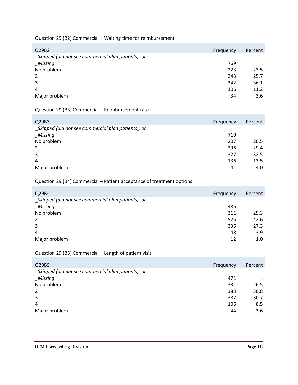Question 29 (B2) Commercial – Waiting time for reimbursement

| Q29B2                                              | Frequency | Percent   |
|----------------------------------------------------|-----------|-----------|
| Skipped (did not see commercial plan patients), or |           |           |
| Missing                                            | 769       | $\bullet$ |
| No problem                                         | 223       | 23.5      |
| 2                                                  | 243       | 25.7      |
| 3                                                  | 342       | 36.1      |
| 4                                                  | 106       | 11.2      |
| Major problem                                      | 34        | 3.6       |
|                                                    |           |           |

Question 29 (B3) Commercial – Reimbursement rate

| Q29B3                                               | Frequency | Percent |
|-----------------------------------------------------|-----------|---------|
| _Skipped (did not see commercial plan patients), or |           |         |
| <b>Missing</b>                                      | 710       |         |
| No problem                                          | 207       | 20.5    |
| 2                                                   | 296       | 29.4    |
| 3                                                   | 327       | 32.5    |
| 4                                                   | 136       | 13.5    |
| Major problem                                       | 41        | 4.0     |

### Question 29 (B4) Commercial – Patient acceptance of treatment options

| Q29B4                                               | Frequency | Percent |
|-----------------------------------------------------|-----------|---------|
| _Skipped (did not see commercial plan patients), or |           |         |
| Missing                                             | 485       |         |
| No problem                                          | 311       | 25.3    |
| 2                                                   | 525       | 42.6    |
| 3                                                   | 336       | 27.3    |
| 4                                                   | 48        | 3.9     |
| Major problem                                       | 12        | 1.0     |

Question 29 (B5) Commercial – Length of patient visit

| Q29B5                                               | Frequency | Percent |
|-----------------------------------------------------|-----------|---------|
| _Skipped (did not see commercial plan patients), or |           |         |
| Missing                                             | 471       |         |
| No problem                                          | 331       | 26.5    |
| 2                                                   | 383       | 30.8    |
| 3                                                   | 382       | 30.7    |
| 4                                                   | 106       | 8.5     |
| Major problem                                       | 44        | 3.6     |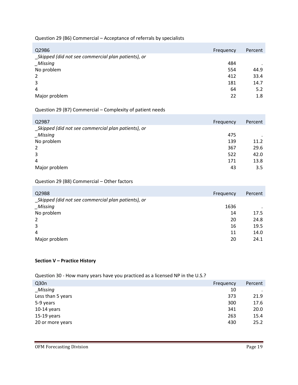### Question 29 (B6) Commercial – Acceptance of referrals by specialists

| Frequency | Percent |
|-----------|---------|
|           |         |
| 484       | $\cdot$ |
| 554       | 44.9    |
| 412       | 33.4    |
| 181       | 14.7    |
| 64        | 5.2     |
| 22        | 1.8     |
|           |         |

### Question 29 (B7) Commercial – Complexity of patient needs

| Q29B7                                              | Frequency | Percent |
|----------------------------------------------------|-----------|---------|
| Skipped (did not see commercial plan patients), or |           |         |
| Missing                                            | 475       |         |
| No problem                                         | 139       | 11.2    |
| 2                                                  | 367       | 29.6    |
| 3                                                  | 522       | 42.0    |
| 4                                                  | 171       | 13.8    |
| Major problem                                      | 43        | 3.5     |

### Question 29 (B8) Commercial – Other factors

| Q29B8                                              | Frequency | Percent |
|----------------------------------------------------|-----------|---------|
| Skipped (did not see commercial plan patients), or |           |         |
| _Missing                                           | 1636      |         |
| No problem                                         | 14        | 17.5    |
| 2                                                  | 20        | 24.8    |
| 3                                                  | 16        | 19.5    |
| 4                                                  | 11        | 14.0    |
| Major problem                                      | 20        | 24.1    |

#### **Section V – Practice History**

### Question 30 - How many years have you practiced as a licensed NP in the U.S.?

| Q <sub>30n</sub>  | Frequency | Percent   |
|-------------------|-----------|-----------|
| Missing           | 10        | $\bullet$ |
| Less than 5 years | 373       | 21.9      |
| 5-9 years         | 300       | 17.6      |
| $10-14$ years     | 341       | 20.0      |
| $15-19$ years     | 263       | 15.4      |
| 20 or more years  | 430       | 25.2      |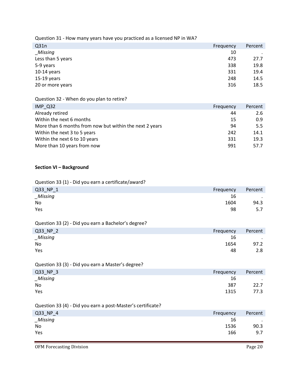Question 31 - How many years have you practiced as a licensed NP in WA?

| Q31n              | Frequency | Percent |
|-------------------|-----------|---------|
| _Missing          | 10        |         |
| Less than 5 years | 473       | 27.7    |
| 5-9 years         | 338       | 19.8    |
| $10-14$ years     | 331       | 19.4    |
| $15-19$ years     | 248       | 14.5    |
| 20 or more years  | 316       | 18.5    |

Question 32 - When do you plan to retire?

| IMP Q32                                                 | Frequency | Percent |
|---------------------------------------------------------|-----------|---------|
| Already retired                                         | 44        | 2.6     |
| Within the next 6 months                                | 15        | 0.9     |
| More than 6 months from now but within the next 2 years | 94        | 5.5     |
| Within the next 3 to 5 years                            | 242       | 14.1    |
| Within the next 6 to 10 years                           | 331       | 19.3    |
| More than 10 years from now                             | 991       | 57.7    |

#### **Section VI – Background**

Question 33 (1) - Did you earn a certificate/award?

| Q33_NP_1    | Frequency | Percent |
|-------------|-----------|---------|
| $\_Missing$ | 16        | $\cdot$ |
| No          | 1604      | 94.3    |
| Yes         | 98        | 5.7     |

Question 33 (2) - Did you earn a Bachelor's degree?

| Q33_NP_2 | Frequency | Percent |
|----------|-----------|---------|
| _Missing | 16        | $\cdot$ |
| No       | 1654      | 97.2    |
| Yes      | 48        | 2.8     |

Question 33 (3) - Did you earn a Master's degree?

| $Q33_NP_3$ | Frequency | Percent                  |
|------------|-----------|--------------------------|
| _Missing   | 16        | <b>Contract Contract</b> |
| No         | 387       | 22.7                     |
| Yes        | 1315      | 77.3                     |

Question 33 (4) - Did you earn a post-Master's certificate?

| Q33_NP_4 | Frequency | Percent          |
|----------|-----------|------------------|
| _Missing | 16        | $\sim$ 100 $\pm$ |
| No       | 1536      | 90.3             |
| Yes      | 166       | 9.7              |

OFM Forecasting Division **Page 20**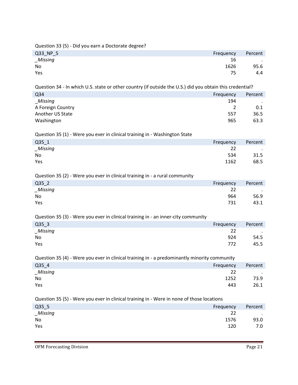Question 33 (5) - Did you earn a Doctorate degree?

| Q33_NP_5    | Frequency | Percent |
|-------------|-----------|---------|
| $\_Missing$ | 16        | $\cdot$ |
| No          | 1626      | 95.6    |
| Yes         | 75        | 4.4     |

Question 34 - In which U.S. state or other country (if outside the U.S.) did you obtain this credential?

| Q34               | Frequency | Percent   |
|-------------------|-----------|-----------|
| Missing           | 194       | $\bullet$ |
| A Foreign Country |           | 0.1       |
| Another US State  | 557       | 36.5      |
| Washington        | 965       | 63.3      |

Question 35 (1) - Were you ever in clinical training in - Washington State

| $Q35_1$ | Frequency | Percent |
|---------|-----------|---------|
| Missing | 22        | $\sim$  |
| No      | 534       | 31.5    |
| Yes     | 1162      | 68.5    |

Question 35 (2) - Were you ever in clinical training in - a rural community

| $Q35_2$  | Frequency | Percent   |
|----------|-----------|-----------|
| _Missing | 22        | $\cdot$ . |
| No       | 964       | 56.9      |
| Yes      | 731       | 43.1      |

Question 35 (3) - Were you ever in clinical training in - an inner-city community

| $Q35_3$ | Frequency | Percent   |
|---------|-----------|-----------|
| Missing | 22        | $\cdot$ . |
| No      | 924       | 54.5      |
| Yes     | 772       | 45.5      |

Question 35 (4) - Were you ever in clinical training in - a predominantly minority community

| Q35_4   | Frequency | Percent |
|---------|-----------|---------|
| Missing | 22        | $\cdot$ |
| No      | 1252      | 73.9    |
| Yes     | 443       | 26.1    |

Question 35 (5) - Were you ever in clinical training in - Were in none of those locations

| $Q35-5$        | Frequency | Percent   |
|----------------|-----------|-----------|
| <b>Missing</b> | 22        | $\cdot$ . |
| No             | 1576      | 93.0      |
| Yes            | 120       | 7.0       |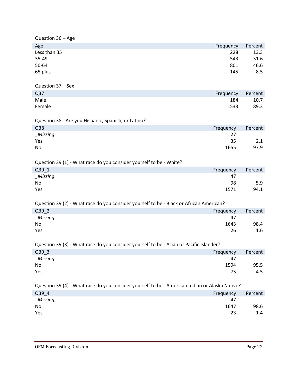| Question 36 - Age                                                                              |           |         |  |
|------------------------------------------------------------------------------------------------|-----------|---------|--|
| Age                                                                                            | Frequency | Percent |  |
| Less than 35                                                                                   | 228       | 13.3    |  |
| 35-49                                                                                          | 543       | 31.6    |  |
| 50-64                                                                                          | 801       | 46.6    |  |
| 65 plus                                                                                        | 145       | 8.5     |  |
| Question 37 - Sex                                                                              |           |         |  |
| Q <sub>37</sub>                                                                                | Frequency | Percent |  |
| Male                                                                                           | 184       | 10.7    |  |
| Female                                                                                         | 1533      | 89.3    |  |
|                                                                                                |           |         |  |
| Question 38 - Are you Hispanic, Spanish, or Latino?                                            |           |         |  |
| Q <sub>38</sub>                                                                                | Frequency | Percent |  |
| $_M$ issing                                                                                    | 27        |         |  |
| Yes                                                                                            | 35        | 2.1     |  |
| No                                                                                             | 1655      | 97.9    |  |
|                                                                                                |           |         |  |
| Question 39 (1) - What race do you consider yourself to be - White?                            |           |         |  |
| Q39 1                                                                                          | Frequency | Percent |  |
| $_M$ issing                                                                                    | 47        |         |  |
| No                                                                                             | 98        | 5.9     |  |
| Yes                                                                                            | 1571      | 94.1    |  |
| Question 39 (2) - What race do you consider yourself to be - Black or African American?        |           |         |  |
| Q39 2                                                                                          | Frequency | Percent |  |
| $_M$ issing                                                                                    | 47        |         |  |
| No                                                                                             | 1643      | 98.4    |  |
| Yes                                                                                            | 26        | 1.6     |  |
|                                                                                                |           |         |  |
| Question 39 (3) - What race do you consider yourself to be - Asian or Pacific Islander?        |           |         |  |
| Q39_3                                                                                          | Frequency | Percent |  |
| _Missing                                                                                       | 47        |         |  |
| No                                                                                             | 1594      | 95.5    |  |
| Yes                                                                                            | 75        | 4.5     |  |
| Question 39 (4) - What race do you consider yourself to be - American Indian or Alaska Native? |           |         |  |
| Q39_4                                                                                          | Frequency | Percent |  |
| $_M$ issing                                                                                    | 47        |         |  |
| No                                                                                             | 1647      | 98.6    |  |
| Yes                                                                                            | 23        | 1.4     |  |
|                                                                                                |           |         |  |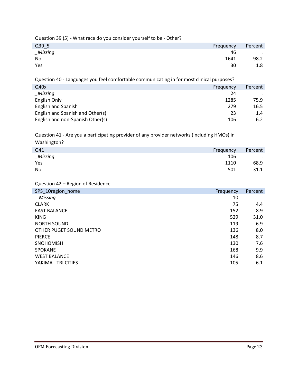Question 39 (5) - What race do you consider yourself to be - Other?

| Q39_5    | Frequency | Percent |
|----------|-----------|---------|
| _Missing | 46        | $\sim$  |
| No       | 1641      | 98.2    |
| Yes      | 30        | 1.8     |

Question 40 - Languages you feel comfortable communicating in for most clinical purposes?

| Q40x                             | Frequency | Percent |
|----------------------------------|-----------|---------|
| Missing                          | 24        |         |
| English Only                     | 1285      | 75.9    |
| English and Spanish              | 279       | 16.5    |
| English and Spanish and Other(s) | 23        | 1.4     |
| English and non-Spanish Other(s) | 106       | 6.2     |

Question 41 - Are you a participating provider of any provider networks (including HMOs) in Washington?

| _           |           |           |
|-------------|-----------|-----------|
| Q41         | Frequency | Percent   |
| $\_Missing$ | 106       | $\bullet$ |
| Yes         | 1110      | 68.9      |
| No          | 501       | 31.1      |
|             |           |           |

Question 42 – Region of Residence

| SPS_10region_home       | Frequency | Percent |
|-------------------------|-----------|---------|
| _ Missing               | 10        |         |
| <b>CLARK</b>            | 75        | 4.4     |
| <b>EAST BALANCE</b>     | 152       | 8.9     |
| <b>KING</b>             | 529       | 31.0    |
| <b>NORTH SOUND</b>      | 119       | 6.9     |
| OTHER PUGET SOUND METRO | 136       | 8.0     |
| <b>PIERCE</b>           | 148       | 8.7     |
| <b>SNOHOMISH</b>        | 130       | 7.6     |
| <b>SPOKANE</b>          | 168       | 9.9     |
| <b>WEST BALANCE</b>     | 146       | 8.6     |
| YAKIMA - TRI CITIES     | 105       | 6.1     |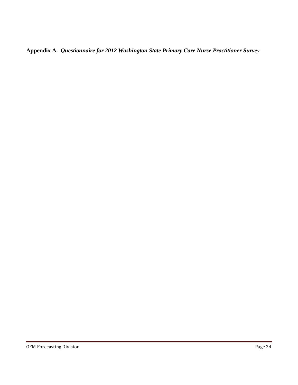**Appendix A.** *Questionnaire for 2012 Washington State Primary Care Nurse Practitioner Survey*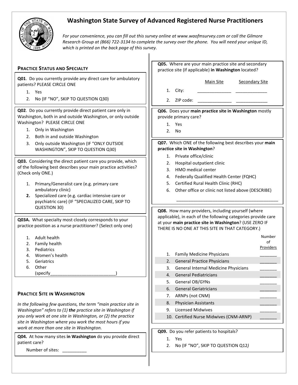

# **Washington State Survey of Advanced Registered Nurse Practitioners**

*For your convenience, you can fill out this survey online at www.waofmsurvey.com or call the Gilmore Research Group at (866) 722-3134 to complete the survey over the phone. You will need your unique ID, which is printed on the back page of this survey.*

 $\mathbf{I}$ 

|                                                                                                                                                                                                                                                                                                                                                            | Q05. Where are your main practice site and secondary                                                                                                                                                                                                |  |  |  |  |
|------------------------------------------------------------------------------------------------------------------------------------------------------------------------------------------------------------------------------------------------------------------------------------------------------------------------------------------------------------|-----------------------------------------------------------------------------------------------------------------------------------------------------------------------------------------------------------------------------------------------------|--|--|--|--|
| <b>PRACTICE STATUS AND SPECIALTY</b>                                                                                                                                                                                                                                                                                                                       | practice site (if applicable) in Washington located?                                                                                                                                                                                                |  |  |  |  |
| Q01. Do you currently provide any direct care for ambulatory<br>patients? PLEASE CIRCLE ONE<br>1. Yes<br>2. No (IF "NO", SKIP TO QUESTION Q30)                                                                                                                                                                                                             | Main Site<br><b>Secondary Site</b><br>City:<br>1.<br>ZIP code:<br>2.                                                                                                                                                                                |  |  |  |  |
| Q02. Do you currently provide direct patient care only in<br>Washington, both in and outside Washington, or only outside<br>Washington? PLEASE CIRCLE ONE<br>Only in Washington<br>1.<br>Both in and outside Washington<br>2.<br>Only outside Washington (IF "ONLY OUTSIDE<br>3.<br>WASHINGTON", SKIP TO QUESTION Q30)                                     | Q06. Does your main practice site in Washington mostly<br>provide primary care?<br>1.<br>Yes<br>2.<br>No<br>Q07. Which ONE of the following best describes your main<br>practice site in Washington?                                                |  |  |  |  |
| Q03. Considering the direct patient care you provide, which<br>of the following best describes your main practice activities?<br>(Check only ONE.)<br>Primary/Generalist care (e.g. primary care<br>1.<br>ambulatory clinic)<br>Specialized care (e.g. cardiac intensive care or<br>2.<br>psychiatric care) (IF "SPECIALIZED CARE, SKIP TO<br>QUESTION 30) | 1. Private office/clinic<br>Hospital outpatient clinic<br>2.<br>HMO medical center<br>3.<br>Federally Qualified Health Center (FQHC)<br>4.<br>Certified Rural Health Clinic (RHC)<br>5.<br>6.<br>Other office or clinic not listed above (DESCRIBE) |  |  |  |  |
| Q03A. What specialty most closely corresponds to your<br>practice position as a nurse practitioner? (Select only one)                                                                                                                                                                                                                                      | Q08. How many providers, including yourself (where<br>applicable), in each of the following categories provide care<br>at your main practice site in Washington? (USE ZERO IF<br>THERE IS NO ONE AT THIS SITE IN THAT CATEGORY.)                    |  |  |  |  |
| Adult health<br>1.<br>Family health<br>2.<br>Pediatrics<br>3.<br>Women's health<br>4.<br>5.<br>Geriatrics<br>6.<br>Other<br>(specify                                                                                                                                                                                                                       | Number<br>of<br><b>Providers</b><br><b>Family Medicine Physicians</b><br>1.<br><b>General Practice Physicians</b><br>2.<br>General Internal Medicine Physicians<br>3.<br><b>General Pediatricians</b><br>4.                                         |  |  |  |  |
| <b>PRACTICE SITE IN WASHINGTON</b><br>In the following few questions, the term "main practice site in<br>Washington" refers to (1) the practice site in Washington if<br>you only work at one site in Washington, or (2) the practice<br>site in Washington where you work the most hours if you                                                           | General OB/GYNs<br>5.<br><b>General Geriatricians</b><br>6.<br>ARNPs (not CNM)<br>7.<br>Physician Assistants<br>8.<br><b>Licensed Midwives</b><br>9.<br>10. Certified Nurse Midwives (CNM-ARNP)                                                     |  |  |  |  |
| work at more than one site in Washington.<br>Q04. At how many sites in Washington do you provide direct<br>patient care?<br>Number of sites:                                                                                                                                                                                                               | Q09. Do you refer patients to hospitals?<br>1. Yes<br>No (IF "NO", SKIP TO QUESTION Q12)<br>2.                                                                                                                                                      |  |  |  |  |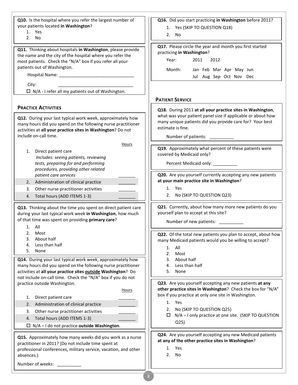| Q10. Is the hospital where you refer the largest number of<br>your patients located in Washington?<br>1. Yes<br>2. No                                                                                                                                                                   | Q16. Did you start practicing in Washington before 2011?<br>1. Yes (SKIP TO QUESTION Q18)<br>2. No.                                                                                                                                          |
|-----------------------------------------------------------------------------------------------------------------------------------------------------------------------------------------------------------------------------------------------------------------------------------------|----------------------------------------------------------------------------------------------------------------------------------------------------------------------------------------------------------------------------------------------|
| Q11. Thinking about hospitals in Washington, please provide<br>the name and the city of the hospital where you refer the<br>most patients. Check the "N/A" box if you refer all your<br>patients out of Washington.<br>City:<br>$\Box$ N/A - I refer all my patients out of Washington. | Q17. Please circle the year and month you first started<br>practicing in Washington?<br>2012<br>Year:<br>2011<br>Jan Feb Mar Apr May Jun<br>Month:<br>Jul Aug Sep Oct Nov Dec                                                                |
|                                                                                                                                                                                                                                                                                         | <b>PATIENT SERVICE</b>                                                                                                                                                                                                                       |
| <b>PRACTICE ACTIVITIES</b><br>Q12. During your last typical work week, approximately how<br>many hours did you spend on the following nurse practitioner<br>activities at all your practice sites in Washington? Do not<br>include on-call time.                                        | Q18. During 2011 at all your practice sites in Washington,<br>what was your patient panel size if applicable or about how<br>many unique patients did you provide care for? Your best<br>estimate is fine.<br>Number of patients: __________ |
| Hours<br>1.<br>Direct patient care<br>Includes: seeing patients, reviewing<br>tests, preparing for and performing<br>procedures, providing other related                                                                                                                                | Q19. Approximately what percent of these patients were<br>covered by Medicaid only?<br>Percent Medicaid only: ___________                                                                                                                    |
| patient care services                                                                                                                                                                                                                                                                   | Q20. Are you yourself currently accepting any new patients<br>at your main practice site in Washington?                                                                                                                                      |
| Administration of clinical practice<br>2.<br>Other nurse practitioner activities<br>3.                                                                                                                                                                                                  | 1. Yes                                                                                                                                                                                                                                       |
| 4. Total hours (ADD ITEMS 1-3)                                                                                                                                                                                                                                                          | 2. No (SKIP TO QUESTION Q23)                                                                                                                                                                                                                 |
| Q13. Thinking about the time you spent on direct patient care<br>during your last typical work week in Washington, how much<br>of that time was spent on providing primary care?<br>1. All                                                                                              | Q21. Currently, about how many more new patients do you<br>yourself plan to accept at this site?<br>Number of new patients: __________                                                                                                       |
| 2.<br>Most                                                                                                                                                                                                                                                                              | Q22. Of the total new patients you plan to accept, about how                                                                                                                                                                                 |
| About half<br>3.<br>Less than half<br>4.                                                                                                                                                                                                                                                | many Medicaid patients would you be willing to accept?                                                                                                                                                                                       |
| 5.<br>None                                                                                                                                                                                                                                                                              | All<br>1.<br>2.<br>Most                                                                                                                                                                                                                      |
| Q14. During your last typical work week, approximately how                                                                                                                                                                                                                              | About half<br>3.                                                                                                                                                                                                                             |
| many hours did you spend on the following nurse practitioner                                                                                                                                                                                                                            | Less than half<br>4.                                                                                                                                                                                                                         |
| activities at all your practice sites outside Washington? Do<br>not include on-call time. Check the "N/A" box if you do not                                                                                                                                                             | 5.<br>None                                                                                                                                                                                                                                   |
| practice outside Washington.                                                                                                                                                                                                                                                            | Q23. Are you yourself accepting any new patients at any                                                                                                                                                                                      |
| Hours                                                                                                                                                                                                                                                                                   | other practice sites in Washington? Check the box for "N/A"<br>box if you practice at only one site in Washington.                                                                                                                           |
| Direct patient care<br>1.                                                                                                                                                                                                                                                               | 1. Yes                                                                                                                                                                                                                                       |
| Administration of clinical practice<br>2.<br>Other nurse practitioner activities<br>3.                                                                                                                                                                                                  | No (SKIP TO QUESTION Q25)<br>2.                                                                                                                                                                                                              |
| Total hours (ADD ITEMS 1-3)<br>4.                                                                                                                                                                                                                                                       | $\Box$ N/A - I only practice at one site. (SKIP TO QUESTION                                                                                                                                                                                  |
| $\Box$ N/A - I do not practice outside Washington.                                                                                                                                                                                                                                      | Q <sub>25</sub>                                                                                                                                                                                                                              |
| Q15. Approximately how many weeks did you work as a nurse<br>practitioner in 2011? (Do not include time spent at<br>professional conferences, military service, vacation, and other<br>absences.)<br>Number of weeks:                                                                   | Q24. Are you yourself accepting any new Medicaid patients<br>at any of the other practice sites in Washington?<br>1.<br>Yes<br>2. No                                                                                                         |
|                                                                                                                                                                                                                                                                                         |                                                                                                                                                                                                                                              |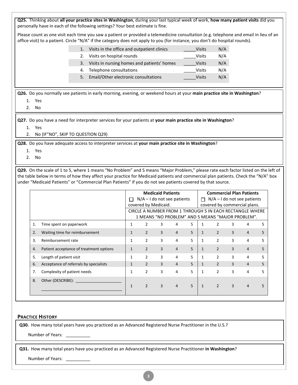| Q25. Thinking about all your practice sites in Washington, during your last typical week of work, how many patient visits did you<br>personally have in each of the following settings? Your best estimate is fine.                                                                                                                                                                   |                                                |                                                      |                          |                    |   |                                    |                |                |                                 |    |  |
|---------------------------------------------------------------------------------------------------------------------------------------------------------------------------------------------------------------------------------------------------------------------------------------------------------------------------------------------------------------------------------------|------------------------------------------------|------------------------------------------------------|--------------------------|--------------------|---|------------------------------------|----------------|----------------|---------------------------------|----|--|
| Please count as one visit each time you saw a patient or provided a telemedicine consultation (e.g. telephone and email in lieu of an<br>office visit) to a patient. Circle "N/A" if the category does not apply to you (for instance, you don't do hospital rounds).                                                                                                                 |                                                |                                                      |                          |                    |   |                                    |                |                |                                 |    |  |
|                                                                                                                                                                                                                                                                                                                                                                                       | 1. Visits in the office and outpatient clinics |                                                      |                          |                    |   | <b>Visits</b>                      | N/A            |                |                                 |    |  |
| 2.                                                                                                                                                                                                                                                                                                                                                                                    | Visits on hospital rounds                      |                                                      |                          |                    |   | <b>Visits</b>                      | N/A            |                |                                 |    |  |
| 3.                                                                                                                                                                                                                                                                                                                                                                                    | Visits in nursing homes and patients' homes    |                                                      |                          |                    |   | <b>Visits</b>                      | N/A            |                |                                 |    |  |
| 4.                                                                                                                                                                                                                                                                                                                                                                                    | Telephone consultations                        | N/A<br><b>Visits</b>                                 |                          |                    |   |                                    |                |                |                                 |    |  |
| 5.                                                                                                                                                                                                                                                                                                                                                                                    | Email/Other electronic consultations           |                                                      |                          |                    |   | <b>Visits</b>                      | N/A            |                |                                 |    |  |
| Q26. Do you normally see patients in early morning, evening, or weekend hours at your main practice site in Washington?<br>1. Yes<br>2. No                                                                                                                                                                                                                                            |                                                |                                                      |                          |                    |   |                                    |                |                |                                 |    |  |
| Q27. Do you have a need for interpreter services for your patients at your main practice site in Washington?<br>1. Yes<br>No (IF"NO", SKIP TO QUESTION Q29)<br>2.                                                                                                                                                                                                                     |                                                |                                                      |                          |                    |   |                                    |                |                |                                 |    |  |
| Q28. Do you have adequate access to interpreter services at your main practice site in Washington?<br>1. Yes<br>2. No                                                                                                                                                                                                                                                                 |                                                |                                                      |                          |                    |   |                                    |                |                |                                 |    |  |
| Q29. On the scale of 1 to 5, where 1 means "No Problem" and 5 means "Major Problem," please rate each factor listed on the left of<br>the table below in terms of how they affect your practice for Medicaid patients and commercial plan patients. Check the "N/A" box<br>under "Medicaid Patients" or "Commercial Plan Patients" if you do not see patients covered by that source. |                                                |                                                      |                          |                    |   |                                    |                |                |                                 |    |  |
|                                                                                                                                                                                                                                                                                                                                                                                       |                                                |                                                      | <b>Medicaid Patients</b> |                    |   |                                    |                |                | <b>Commercial Plan Patients</b> |    |  |
|                                                                                                                                                                                                                                                                                                                                                                                       |                                                | $N/A - I$ do not see patients                        |                          |                    |   | $\Box$ N/A - I do not see patients |                |                |                                 |    |  |
|                                                                                                                                                                                                                                                                                                                                                                                       |                                                | covered by Medicaid.<br>covered by commercial plans. |                          |                    |   |                                    |                |                |                                 |    |  |
| CIRCLE A NUMBER FROM 1 THROUGH 5 IN EACH RECTANGLE WHERE<br>1 MEANS "NO PROBLEM" AND 5 MEANS "MAJOR PROBLEM".                                                                                                                                                                                                                                                                         |                                                |                                                      |                          |                    |   |                                    |                |                |                                 |    |  |
| Time spent on paperwork<br>1.                                                                                                                                                                                                                                                                                                                                                         | $\mathbf{1}$                                   | $\overline{2}$                                       | 3                        | 4                  | 5 | $\mathbf{1}$                       | $\overline{2}$ | 3              | 4                               | 5  |  |
| Waiting time for reimbursement<br>2.                                                                                                                                                                                                                                                                                                                                                  | 1                                              | $\mathbf{2}$                                         | $\overline{3}$           | $\mathbf{\Lambda}$ | 5 | $\mathbf{1}$                       | $\overline{2}$ | $\mathbf{R}$   | Δ                               | 5. |  |
| Reimbursement rate<br>3.                                                                                                                                                                                                                                                                                                                                                              | $\mathbf{1}$                                   | $\overline{2}$                                       | 3                        | 4                  | 5 | $\mathbf{1}$                       | $\overline{2}$ | 3              | 4                               | 5  |  |
| Patient acceptance of treatment options<br>4.                                                                                                                                                                                                                                                                                                                                         | $\mathbf{1}$                                   | $\overline{2}$                                       | $\overline{3}$           | 4                  | 5 | $\mathbf{1}$                       | $2^{\circ}$    | $\mathbf{3}$   | 4                               | 5  |  |
| Length of patient visit<br>5.                                                                                                                                                                                                                                                                                                                                                         | 1                                              | $\overline{2}$                                       | 3                        | 4                  | 5 | $\mathbf{1}$                       | $\overline{2}$ | 3              | 4                               | 5  |  |
| Acceptance of referrals by specialists<br>6.                                                                                                                                                                                                                                                                                                                                          | $\mathbf{1}$                                   | $2^{\circ}$                                          | 3                        | 4                  | 5 | $\mathbf{1}$                       | $2^{\circ}$    | $\overline{3}$ | $\overline{4}$                  | 5  |  |
| Complexity of patient needs<br>7.                                                                                                                                                                                                                                                                                                                                                     | $\mathbf{1}$                                   | $\overline{2}$                                       | 3                        | 4                  | 5 | $\mathbf{1}$                       | $\overline{2}$ | 3              | 4                               | 5. |  |
| Other (DESCRIBE): ________________<br>8.                                                                                                                                                                                                                                                                                                                                              |                                                |                                                      |                          |                    |   |                                    |                |                |                                 |    |  |
|                                                                                                                                                                                                                                                                                                                                                                                       | $\mathbf{1}$                                   | $\overline{2}$                                       | 3                        | 4                  | 5 | $\mathbf{1}$                       | $\overline{2}$ | 3              | 4                               | 5  |  |
|                                                                                                                                                                                                                                                                                                                                                                                       |                                                |                                                      |                          |                    |   |                                    |                |                |                                 |    |  |

#### **PRACTICE HISTORY**

**Q30.** How many total years have you practiced as an Advanced Registered Nurse Practitioner in the U.S.?

Number of Years: \_\_\_\_\_\_\_\_\_\_\_

**Q31.** How many total years have you practiced as an Advanced Registered Nurse Practitioner **in Washington**?

Number of Years: \_\_\_\_\_\_\_\_\_\_\_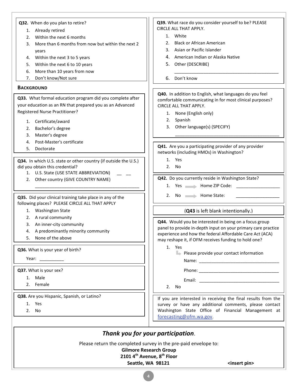| Q32. When do you plan to retire?                                                                           | Q39. What race do you consider yourself to be? PLEASE         |
|------------------------------------------------------------------------------------------------------------|---------------------------------------------------------------|
| 1. Already retired                                                                                         | CIRCLE ALL THAT APPLY.                                        |
| Within the next 6 months<br>2.                                                                             | 1. White                                                      |
| More than 6 months from now but within the next 2<br>3.                                                    | <b>Black or African American</b><br>2.                        |
| years                                                                                                      | Asian or Pacific Islander<br>3.                               |
| Within the next 3 to 5 years<br>4.                                                                         | 4. American Indian or Alaska Native                           |
|                                                                                                            | 5.<br>Other (DESCRIBE)                                        |
| Within the next 6 to 10 years<br>5.                                                                        |                                                               |
| More than 10 years from now<br>6.                                                                          |                                                               |
| Don't know/Not sure<br>7.                                                                                  | Don't know<br>6.                                              |
| <b>BACKGROUND</b>                                                                                          | Q40. In addition to English, what languages do you feel       |
| Q33. What formal education program did you complete after                                                  | comfortable communicating in for most clinical purposes?      |
| your education as an RN that prepared you as an Advanced                                                   | CIRCLE ALL THAT APPLY.                                        |
| Registered Nurse Practitioner?                                                                             |                                                               |
|                                                                                                            | 1. None (English only)                                        |
| 1. Certificate/award                                                                                       | Spanish<br>2.                                                 |
| Bachelor's degree<br>2.                                                                                    | Other language(s) (SPECIFY)<br>3.                             |
| Master's degree<br>3.                                                                                      |                                                               |
| Post-Master's certificate<br>4.                                                                            |                                                               |
| 5.<br>Doctorate                                                                                            | Q41. Are you a participating provider of any provider         |
|                                                                                                            | networks (including HMOs) in Washington?                      |
| Q34. In which U.S. state or other country (if outside the U.S.)                                            | 1. Yes                                                        |
| did you obtain this credential?                                                                            | <b>No</b><br>2.                                               |
| 1. U.S. State (USE STATE ABBREVIATION)                                                                     |                                                               |
| Other country (GIVE COUNTRY NAME)<br>2.                                                                    | Q42. Do you currently reside in Washington State?             |
|                                                                                                            | 1. Yes <b>Nome ZIP Code:</b>                                  |
|                                                                                                            | 2. No <b>No</b> Home State:                                   |
| Q35. Did your clinical training take place in any of the<br>following places? PLEASE CIRCLE ALL THAT APPLY |                                                               |
|                                                                                                            |                                                               |
| 1. Washington State                                                                                        | (Q43 is left blank intentionally.)                            |
| 2. A rural community                                                                                       | Q44. Would you be interested in being on a focus group        |
| 3. An inner-city community                                                                                 | panel to provide in-depth input on your primary care practice |
| A predominantly minority community<br>4.                                                                   | experience and how the federal Affordable Care Act (ACA)      |
| 5. None of the above                                                                                       | may reshape it, if OFM receives funding to hold one?          |
|                                                                                                            | 1. Yes                                                        |
| Q36. What is your year of birth?                                                                           | $\blacktriangleright$ Please provide your contact information |
|                                                                                                            |                                                               |
| Q37. What is your sex?                                                                                     |                                                               |
| 1. Male                                                                                                    |                                                               |
| 2. Female                                                                                                  |                                                               |
|                                                                                                            | 2.<br>No                                                      |
| Q38. Are you Hispanic, Spanish, or Latino?                                                                 | If you are interested in receiving the final results from the |
| 1. Yes                                                                                                     | survey or have any additional comments, please contact        |
| 2. No                                                                                                      | Washington State Office of Financial Management at            |
|                                                                                                            | forecasting@ofm.wa.gov.                                       |
|                                                                                                            |                                                               |
| Thank you for your participation.                                                                          |                                                               |

Please return the completed survey in the pre-paid envelope to:

**Gilmore Research Group**

# **2101 4th Avenue, 8th Floor**

Seattle, WA 98121 <insert pin>

**4**